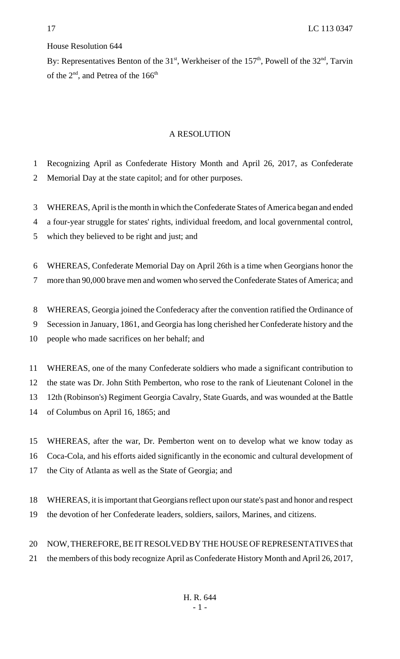## House Resolution 644

By: Representatives Benton of the  $31<sup>st</sup>$ , Werkheiser of the  $157<sup>th</sup>$ , Powell of the  $32<sup>nd</sup>$ , Tarvin of the  $2<sup>nd</sup>$ , and Petrea of the 166<sup>th</sup>

## A RESOLUTION

- Recognizing April as Confederate History Month and April 26, 2017, as Confederate
- Memorial Day at the state capitol; and for other purposes.
- WHEREAS, April is the month in which the Confederate States of America began and ended
- a four-year struggle for states' rights, individual freedom, and local governmental control,
- which they believed to be right and just; and
- WHEREAS, Confederate Memorial Day on April 26th is a time when Georgians honor the
- more than 90,000 brave men and women who served the Confederate States of America; and
- WHEREAS, Georgia joined the Confederacy after the convention ratified the Ordinance of
- Secession in January, 1861, and Georgia has long cherished her Confederate history and the
- people who made sacrifices on her behalf; and
- WHEREAS, one of the many Confederate soldiers who made a significant contribution to
- the state was Dr. John Stith Pemberton, who rose to the rank of Lieutenant Colonel in the
- 12th (Robinson's) Regiment Georgia Cavalry, State Guards, and was wounded at the Battle
- of Columbus on April 16, 1865; and
- WHEREAS, after the war, Dr. Pemberton went on to develop what we know today as
- Coca-Cola, and his efforts aided significantly in the economic and cultural development of
- the City of Atlanta as well as the State of Georgia; and
- WHEREAS, it is important that Georgians reflect upon our state's past and honor and respect the devotion of her Confederate leaders, soldiers, sailors, Marines, and citizens.
- NOW, THEREFORE, BE IT RESOLVED BY THE HOUSE OF REPRESENTATIVES that the members of this body recognize April as Confederate History Month and April 26, 2017,